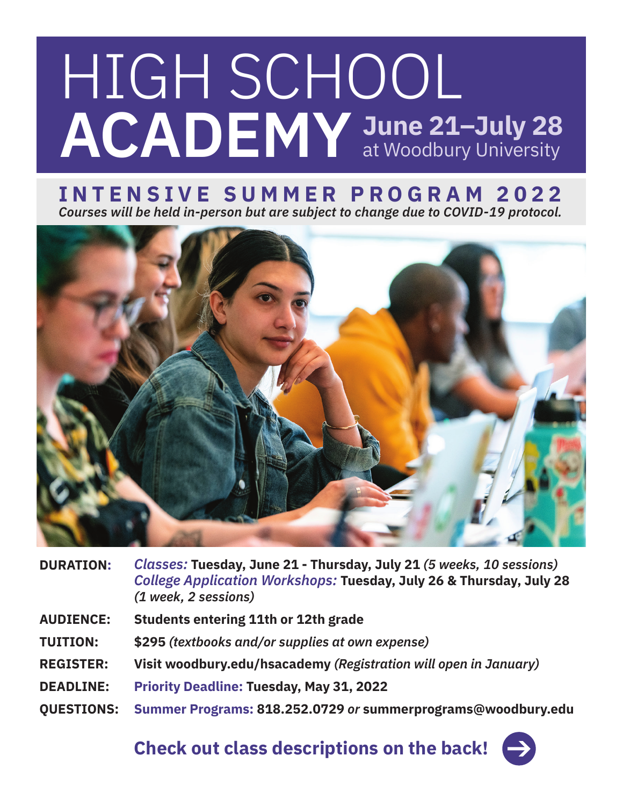# HIGH SCHOOL **ACADEMY June 21–July 28**  at Woodbury University

# **INTENSIVE SUMMER PROGRAM 2022** *Courses will be held in-person but are subject to change due to COVID-19 protocol.*



| <b>DURATION:</b>  | Classes: Tuesday, June 21 - Thursday, July 21 (5 weeks, 10 sessions)<br>College Application Workshops: Tuesday, July 26 & Thursday, July 28<br>(1 week, 2 sessions) |
|-------------------|---------------------------------------------------------------------------------------------------------------------------------------------------------------------|
| <b>AUDIENCE:</b>  | Students entering 11th or 12th grade                                                                                                                                |
| <b>TUITION:</b>   | \$295 (textbooks and/or supplies at own expense)                                                                                                                    |
| <b>REGISTER:</b>  | Visit woodbury.edu/hsacademy (Registration will open in January)                                                                                                    |
| <b>DEADLINE:</b>  | <b>Priority Deadline: Tuesday, May 31, 2022</b>                                                                                                                     |
| <b>OUESTIONS:</b> | Summer Programs: 818.252.0729 or summerprograms@woodbury.edu                                                                                                        |

**Check out class descriptions on the back!**